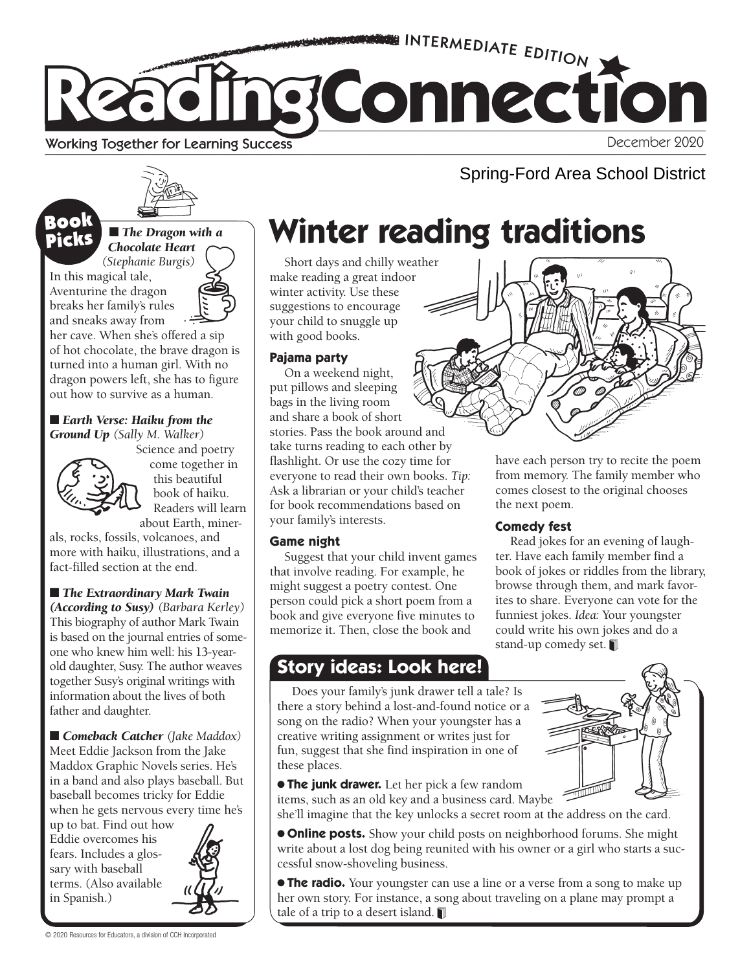

#### Working Together for Learning Success

December 2020

Spring-Ford Area School District



#### ■ *The Dragon with a Chocolate Heart*

*(Stephanie Burgis)*  In this magical tale, Aventurine the dragon breaks her family's rules and sneaks away from

Book Picks

her cave. When she's offered a sip of hot chocolate, the brave dragon is turned into a human girl. With no dragon powers left, she has to figure out how to survive as a human.

#### ■ *Earth Verse: Haiku from the Ground Up (Sally M. Walker)*



Science and poetry come together in this beautiful book of haiku. Readers will learn about Earth, miner-

als, rocks, fossils, volcanoes, and more with haiku, illustrations, and a fact-filled section at the end.

■ *The Extraordinary Mark Twain* 

*(According to Susy) (Barbara Kerley)* This biography of author Mark Twain is based on the journal entries of someone who knew him well: his 13-yearold daughter, Susy. The author weaves together Susy's original writings with information about the lives of both father and daughter.

■ *Comeback Catcher* (Jake Maddox) Meet Eddie Jackson from the Jake Maddox Graphic Novels series. He's in a band and also plays baseball. But baseball becomes tricky for Eddie when he gets nervous every time he's

up to bat. Find out how Eddie overcomes his fears. Includes a glossary with baseball terms. (Also available in Spanish.)



# **Winter reading traditions**

Short days and chilly weather make reading a great indoor winter activity. Use these suggestions to encourage your child to snuggle up with good books.

#### **Pajama party**

On a weekend night, put pillows and sleeping bags in the living room and share a book of short stories. Pass the book around and take turns reading to each other by flashlight. Or use the cozy time for everyone to read their own books. *Tip:* Ask a librarian or your child's teacher for book recommendations based on your family's interests.

#### **Game night**

Suggest that your child invent games that involve reading. For example, he might suggest a poetry contest. One person could pick a short poem from a book and give everyone five minutes to memorize it. Then, close the book and

### **Story ideas: Look here!**

Does your family's junk drawer tell a tale? Is there a story behind a lost-and-found notice or a song on the radio? When your youngster has a creative writing assignment or writes just for fun, suggest that she find inspiration in one of these places.

● **The junk drawer.** Let her pick a few random items, such as an old key and a business card. Maybe

she'll imagine that the key unlocks a secret room at the address on the card.

● **Online posts.** Show your child posts on neighborhood forums. She might write about a lost dog being reunited with his owner or a girl who starts a successful snow-shoveling business.

● **The radio.** Your youngster can use a line or a verse from a song to make up her own story. For instance, a song about traveling on a plane may prompt a tale of a trip to a desert island.



have each person try to recite the poem from memory. The family member who comes closest to the original chooses the next poem.

#### **Comedy fest**

Read jokes for an evening of laughter. Have each family member find a book of jokes or riddles from the library, browse through them, and mark favorites to share. Everyone can vote for the funniest jokes. *Idea:* Your youngster could write his own jokes and do a stand-up comedy set.